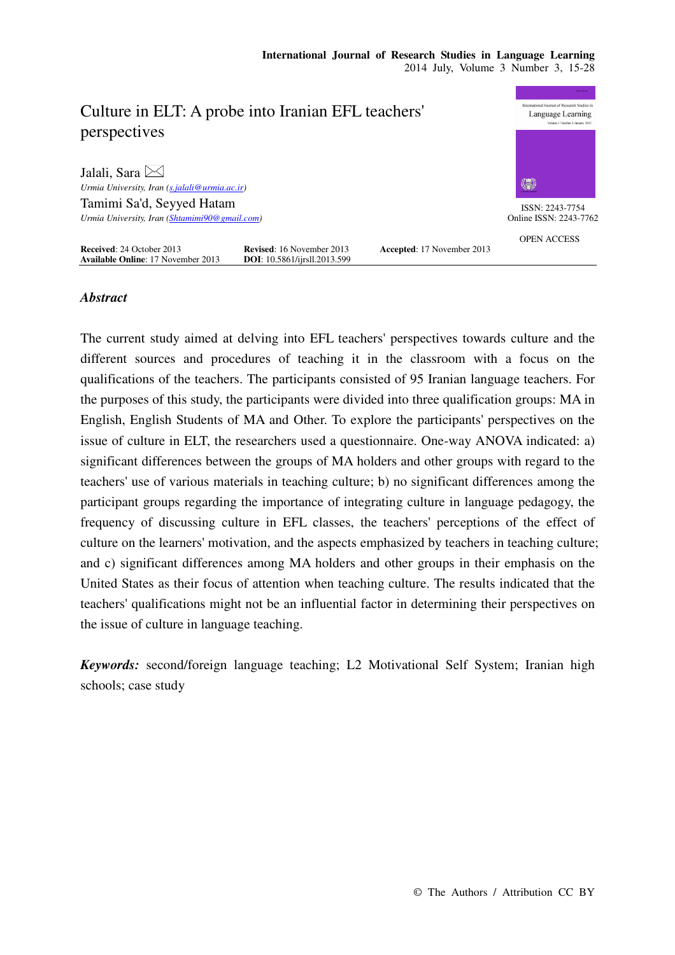

# *Abstract*

The current study aimed at delving into EFL teachers' perspectives towards culture and the different sources and procedures of teaching it in the classroom with a focus on the qualifications of the teachers. The participants consisted of 95 Iranian language teachers. For the purposes of this study, the participants were divided into three qualification groups: MA in English, English Students of MA and Other. To explore the participants' perspectives on the issue of culture in ELT, the researchers used a questionnaire. One-way ANOVA indicated: a) significant differences between the groups of MA holders and other groups with regard to the teachers' use of various materials in teaching culture; b) no significant differences among the participant groups regarding the importance of integrating culture in language pedagogy, the frequency of discussing culture in EFL classes, the teachers' perceptions of the effect of culture on the learners' motivation, and the aspects emphasized by teachers in teaching culture; and c) significant differences among MA holders and other groups in their emphasis on the United States as their focus of attention when teaching culture. The results indicated that the teachers' qualifications might not be an influential factor in determining their perspectives on the issue of culture in language teaching.

*Keywords:* second/foreign language teaching; L2 Motivational Self System; Iranian high schools; case study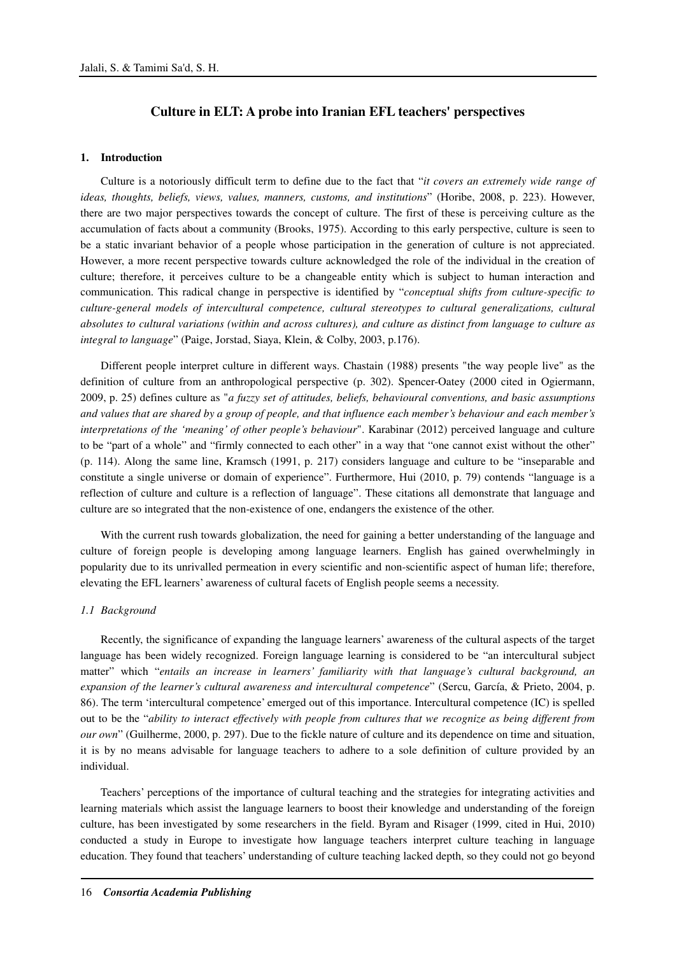# **Culture in ELT: A probe into Iranian EFL teachers' perspectives**

## **1. Introduction**

Culture is a notoriously difficult term to define due to the fact that "*it covers an extremely wide range of ideas, thoughts, beliefs, views, values, manners, customs, and institutions*" (Horibe, 2008, p. 223). However, there are two major perspectives towards the concept of culture. The first of these is perceiving culture as the accumulation of facts about a community (Brooks, 1975). According to this early perspective, culture is seen to be a static invariant behavior of a people whose participation in the generation of culture is not appreciated. However, a more recent perspective towards culture acknowledged the role of the individual in the creation of culture; therefore, it perceives culture to be a changeable entity which is subject to human interaction and communication. This radical change in perspective is identified by "*conceptual shifts from culture-specific to culture-general models of intercultural competence, cultural stereotypes to cultural generalizations, cultural absolutes to cultural variations (within and across cultures), and culture as distinct from language to culture as integral to language*" (Paige, Jorstad, Siaya, Klein, & Colby, 2003, p.176).

Different people interpret culture in different ways. Chastain (1988) presents "the way people live" as the definition of culture from an anthropological perspective (p. 302). Spencer-Oatey (2000 cited in Ogiermann, 2009, p. 25) defines culture as "*a fuzzy set of attitudes, beliefs, behavioural conventions, and basic assumptions and values that are shared by a group of people, and that influence each member's behaviour and each member's interpretations of the 'meaning' of other people's behaviour*". Karabinar (2012) perceived language and culture to be "part of a whole" and "firmly connected to each other" in a way that "one cannot exist without the other" (p. 114). Along the same line, Kramsch (1991, p. 217) considers language and culture to be "inseparable and constitute a single universe or domain of experience". Furthermore, Hui (2010, p. 79) contends "language is a reflection of culture and culture is a reflection of language". These citations all demonstrate that language and culture are so integrated that the non-existence of one, endangers the existence of the other.

With the current rush towards globalization, the need for gaining a better understanding of the language and culture of foreign people is developing among language learners. English has gained overwhelmingly in popularity due to its unrivalled permeation in every scientific and non-scientific aspect of human life; therefore, elevating the EFL learners' awareness of cultural facets of English people seems a necessity.

#### *1.1 Background*

Recently, the significance of expanding the language learners' awareness of the cultural aspects of the target language has been widely recognized. Foreign language learning is considered to be "an intercultural subject matter" which "*entails an increase in learners' familiarity with that language's cultural background, an expansion of the learner's cultural awareness and intercultural competence*" (Sercu, García, & Prieto, 2004, p. 86). The term 'intercultural competence' emerged out of this importance. Intercultural competence (IC) is spelled out to be the "*ability to interact effectively with people from cultures that we recognize as being different from our own*" (Guilherme, 2000, p. 297). Due to the fickle nature of culture and its dependence on time and situation, it is by no means advisable for language teachers to adhere to a sole definition of culture provided by an individual.

Teachers' perceptions of the importance of cultural teaching and the strategies for integrating activities and learning materials which assist the language learners to boost their knowledge and understanding of the foreign culture, has been investigated by some researchers in the field. Byram and Risager (1999, cited in Hui, 2010) conducted a study in Europe to investigate how language teachers interpret culture teaching in language education. They found that teachers' understanding of culture teaching lacked depth, so they could not go beyond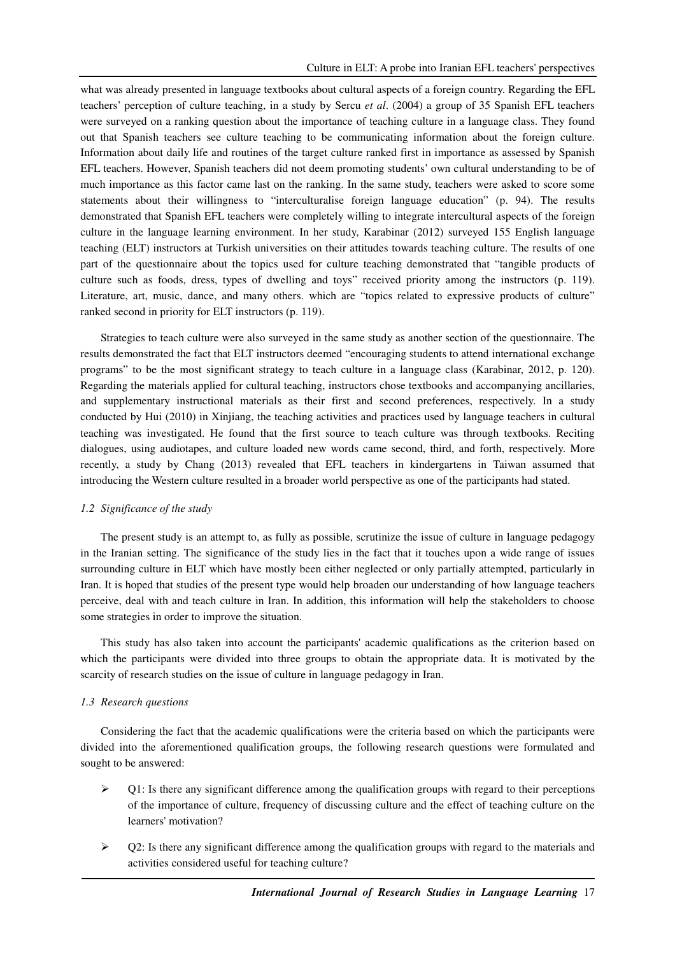what was already presented in language textbooks about cultural aspects of a foreign country. Regarding the EFL teachers' perception of culture teaching, in a study by Sercu *et al*. (2004) a group of 35 Spanish EFL teachers were surveyed on a ranking question about the importance of teaching culture in a language class. They found out that Spanish teachers see culture teaching to be communicating information about the foreign culture. Information about daily life and routines of the target culture ranked first in importance as assessed by Spanish EFL teachers. However, Spanish teachers did not deem promoting students' own cultural understanding to be of much importance as this factor came last on the ranking. In the same study, teachers were asked to score some statements about their willingness to "interculturalise foreign language education" (p. 94). The results demonstrated that Spanish EFL teachers were completely willing to integrate intercultural aspects of the foreign culture in the language learning environment. In her study, Karabinar (2012) surveyed 155 English language teaching (ELT) instructors at Turkish universities on their attitudes towards teaching culture. The results of one part of the questionnaire about the topics used for culture teaching demonstrated that "tangible products of culture such as foods, dress, types of dwelling and toys" received priority among the instructors (p. 119). Literature, art, music, dance, and many others. which are "topics related to expressive products of culture" ranked second in priority for ELT instructors (p. 119).

Strategies to teach culture were also surveyed in the same study as another section of the questionnaire. The results demonstrated the fact that ELT instructors deemed "encouraging students to attend international exchange programs" to be the most significant strategy to teach culture in a language class (Karabinar, 2012, p. 120). Regarding the materials applied for cultural teaching, instructors chose textbooks and accompanying ancillaries, and supplementary instructional materials as their first and second preferences, respectively. In a study conducted by Hui (2010) in Xinjiang, the teaching activities and practices used by language teachers in cultural teaching was investigated. He found that the first source to teach culture was through textbooks. Reciting dialogues, using audiotapes, and culture loaded new words came second, third, and forth, respectively. More recently, a study by Chang (2013) revealed that EFL teachers in kindergartens in Taiwan assumed that introducing the Western culture resulted in a broader world perspective as one of the participants had stated.

# *1.2 Significance of the study*

The present study is an attempt to, as fully as possible, scrutinize the issue of culture in language pedagogy in the Iranian setting. The significance of the study lies in the fact that it touches upon a wide range of issues surrounding culture in ELT which have mostly been either neglected or only partially attempted, particularly in Iran. It is hoped that studies of the present type would help broaden our understanding of how language teachers perceive, deal with and teach culture in Iran. In addition, this information will help the stakeholders to choose some strategies in order to improve the situation.

This study has also taken into account the participants' academic qualifications as the criterion based on which the participants were divided into three groups to obtain the appropriate data. It is motivated by the scarcity of research studies on the issue of culture in language pedagogy in Iran.

# *1.3 Research questions*

Considering the fact that the academic qualifications were the criteria based on which the participants were divided into the aforementioned qualification groups, the following research questions were formulated and sought to be answered:

- $\triangleright$  O1: Is there any significant difference among the qualification groups with regard to their perceptions of the importance of culture, frequency of discussing culture and the effect of teaching culture on the learners' motivation?
- $\triangleright$  Q2: Is there any significant difference among the qualification groups with regard to the materials and activities considered useful for teaching culture?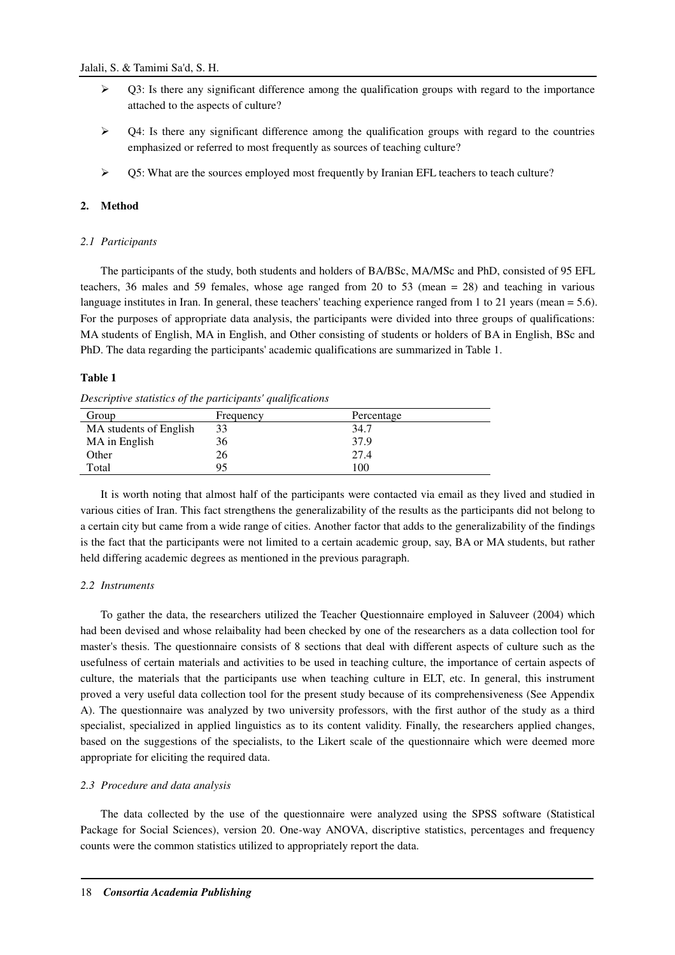- $\triangleright$  Q3: Is there any significant difference among the qualification groups with regard to the importance attached to the aspects of culture?
- $\geq$   $\sqrt{Q_1}$  O4: Is there any significant difference among the qualification groups with regard to the countries emphasized or referred to most frequently as sources of teaching culture?
- $\triangleright$  Q5: What are the sources employed most frequently by Iranian EFL teachers to teach culture?

### **2. Method**

### *2.1 Participants*

The participants of the study, both students and holders of BA/BSc, MA/MSc and PhD, consisted of 95 EFL teachers, 36 males and 59 females, whose age ranged from 20 to 53 (mean = 28) and teaching in various language institutes in Iran. In general, these teachers' teaching experience ranged from 1 to 21 years (mean = 5.6). For the purposes of appropriate data analysis, the participants were divided into three groups of qualifications: MA students of English, MA in English, and Other consisting of students or holders of BA in English, BSc and PhD. The data regarding the participants' academic qualifications are summarized in Table 1.

#### **Table 1**

*Descriptive statistics of the participants' qualifications* 

| Group                  | Frequency | Percentage |
|------------------------|-----------|------------|
| MA students of English | 33        | 34.7       |
| MA in English          | 36        | 37.9       |
| Other                  | 26        | 27.4       |
| Total                  | 95        | 100        |

It is worth noting that almost half of the participants were contacted via email as they lived and studied in various cities of Iran. This fact strengthens the generalizability of the results as the participants did not belong to a certain city but came from a wide range of cities. Another factor that adds to the generalizability of the findings is the fact that the participants were not limited to a certain academic group, say, BA or MA students, but rather held differing academic degrees as mentioned in the previous paragraph.

#### *2.2 Instruments*

To gather the data, the researchers utilized the Teacher Questionnaire employed in Saluveer (2004) which had been devised and whose relaibality had been checked by one of the researchers as a data collection tool for master's thesis. The questionnaire consists of 8 sections that deal with different aspects of culture such as the usefulness of certain materials and activities to be used in teaching culture, the importance of certain aspects of culture, the materials that the participants use when teaching culture in ELT, etc. In general, this instrument proved a very useful data collection tool for the present study because of its comprehensiveness (See Appendix A). The questionnaire was analyzed by two university professors, with the first author of the study as a third specialist, specialized in applied linguistics as to its content validity. Finally, the researchers applied changes, based on the suggestions of the specialists, to the Likert scale of the questionnaire which were deemed more appropriate for eliciting the required data.

### *2.3 Procedure and data analysis*

The data collected by the use of the questionnaire were analyzed using the SPSS software (Statistical Package for Social Sciences), version 20. One-way ANOVA, discriptive statistics, percentages and frequency counts were the common statistics utilized to appropriately report the data.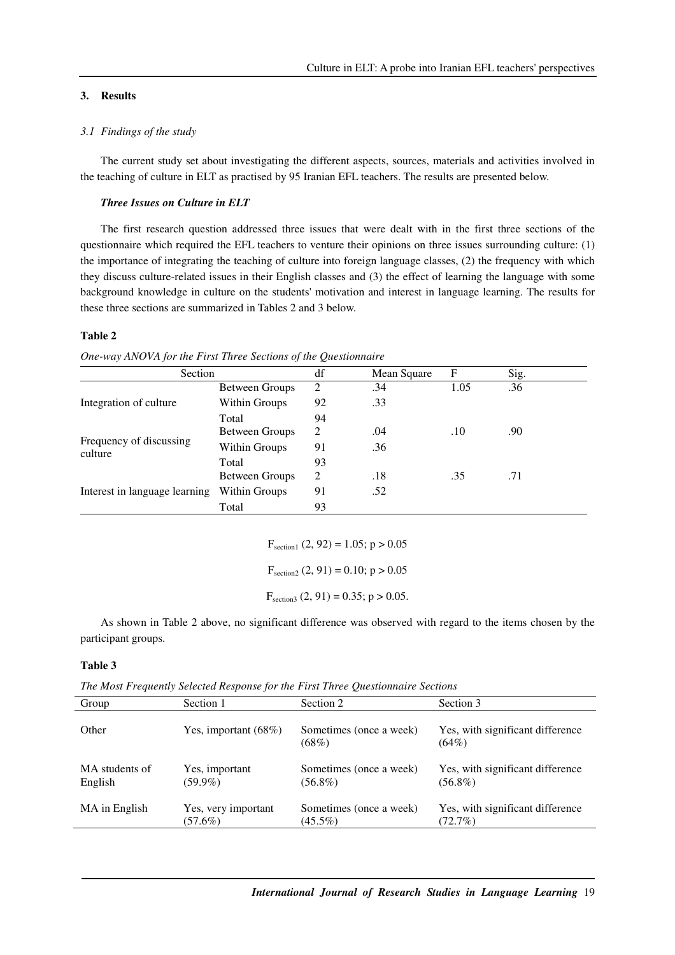# **3. Results**

# *3.1 Findings of the study*

The current study set about investigating the different aspects, sources, materials and activities involved in the teaching of culture in ELT as practised by 95 Iranian EFL teachers. The results are presented below.

#### *Three Issues on Culture in ELT*

The first research question addressed three issues that were dealt with in the first three sections of the questionnaire which required the EFL teachers to venture their opinions on three issues surrounding culture: (1) the importance of integrating the teaching of culture into foreign language classes, (2) the frequency with which they discuss culture-related issues in their English classes and (3) the effect of learning the language with some background knowledge in culture on the students' motivation and interest in language learning. The results for these three sections are summarized in Tables 2 and 3 below.

#### **Table 2**

| Section                            |                       | df | Mean Square | F    | Sig. |
|------------------------------------|-----------------------|----|-------------|------|------|
|                                    | <b>Between Groups</b> | 2  | .34         | 1.05 | .36  |
| Integration of culture             | Within Groups         | 92 | .33         |      |      |
|                                    | Total                 | 94 |             |      |      |
| Frequency of discussing<br>culture | Between Groups        | 2  | .04         | .10  | .90  |
|                                    | Within Groups         | 91 | .36         |      |      |
|                                    | Total                 | 93 |             |      |      |
|                                    | Between Groups        | 2  | .18         | .35  | .71  |
| Interest in language learning      | Within Groups         | 91 | .52         |      |      |
|                                    | Total                 | 93 |             |      |      |

*One-way ANOVA for the First Three Sections of the Questionnaire* 

 $F_{section1}$  (2, 92) = 1.05; p > 0.05

 $F_{section2}$  (2, 91) = 0.10; p > 0.05

 $F_{section3}$  (2, 91) = 0.35; p > 0.05.

As shown in Table 2 above, no significant difference was observed with regard to the items chosen by the participant groups.

# **Table 3**

|  |  | The Most Frequently Selected Response for the First Three Questionnaire Sections |  |
|--|--|----------------------------------------------------------------------------------|--|
|  |  |                                                                                  |  |

| Group                     | Section 1                         | Section 2                             | Section 3                                      |
|---------------------------|-----------------------------------|---------------------------------------|------------------------------------------------|
| Other                     | Yes, important $(68\%)$           | Sometimes (once a week)<br>$(68\%)$   | Yes, with significant difference<br>$(64\%)$   |
| MA students of<br>English | Yes, important<br>$(59.9\%)$      | Sometimes (once a week)<br>$(56.8\%)$ | Yes, with significant difference<br>$(56.8\%)$ |
| MA in English             | Yes, very important<br>$(57.6\%)$ | Sometimes (once a week)<br>$(45.5\%)$ | Yes, with significant difference<br>$(72.7\%)$ |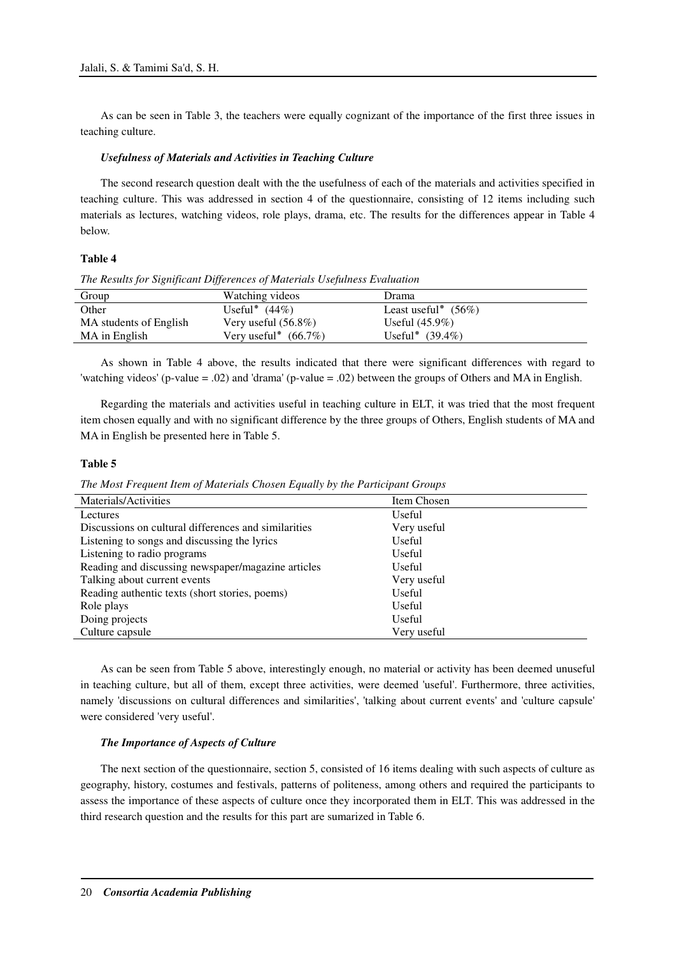As can be seen in Table 3, the teachers were equally cognizant of the importance of the first three issues in teaching culture.

### *Usefulness of Materials and Activities in Teaching Culture*

The second research question dealt with the the usefulness of each of the materials and activities specified in teaching culture. This was addressed in section 4 of the questionnaire, consisting of 12 items including such materials as lectures, watching videos, role plays, drama, etc. The results for the differences appear in Table 4 below.

### **Table 4**

*The Results for Significant Differences of Materials Usefulness Evaluation* 

| Group                  | Watching videos         | Drama                  |
|------------------------|-------------------------|------------------------|
| Other                  | Useful* $(44\%)$        | Least useful* $(56\%)$ |
| MA students of English | Very useful $(56.8\%)$  | Useful $(45.9\%)$      |
| MA in English          | Very useful* $(66.7\%)$ | Useful* $(39.4\%)$     |

As shown in Table 4 above, the results indicated that there were significant differences with regard to 'watching videos' (p-value = .02) and 'drama' (p-value = .02) between the groups of Others and MA in English.

Regarding the materials and activities useful in teaching culture in ELT, it was tried that the most frequent item chosen equally and with no significant difference by the three groups of Others, English students of MA and MA in English be presented here in Table 5.

#### **Table 5**

*The Most Frequent Item of Materials Chosen Equally by the Participant Groups* 

| Materials/Activities                                 | Item Chosen |
|------------------------------------------------------|-------------|
| Lectures                                             | Useful      |
| Discussions on cultural differences and similarities | Very useful |
| Listening to songs and discussing the lyrics         | Useful      |
| Listening to radio programs                          | Useful      |
| Reading and discussing newspaper/magazine articles   | Useful      |
| Talking about current events                         | Very useful |
| Reading authentic texts (short stories, poems)       | Useful      |
| Role plays                                           | Useful      |
| Doing projects                                       | Useful      |
| Culture capsule                                      | Very useful |

As can be seen from Table 5 above, interestingly enough, no material or activity has been deemed unuseful in teaching culture, but all of them, except three activities, were deemed 'useful'. Furthermore, three activities, namely 'discussions on cultural differences and similarities', 'talking about current events' and 'culture capsule' were considered 'very useful'.

#### *The Importance of Aspects of Culture*

The next section of the questionnaire, section 5, consisted of 16 items dealing with such aspects of culture as geography, history, costumes and festivals, patterns of politeness, among others and required the participants to assess the importance of these aspects of culture once they incorporated them in ELT. This was addressed in the third research question and the results for this part are sumarized in Table 6.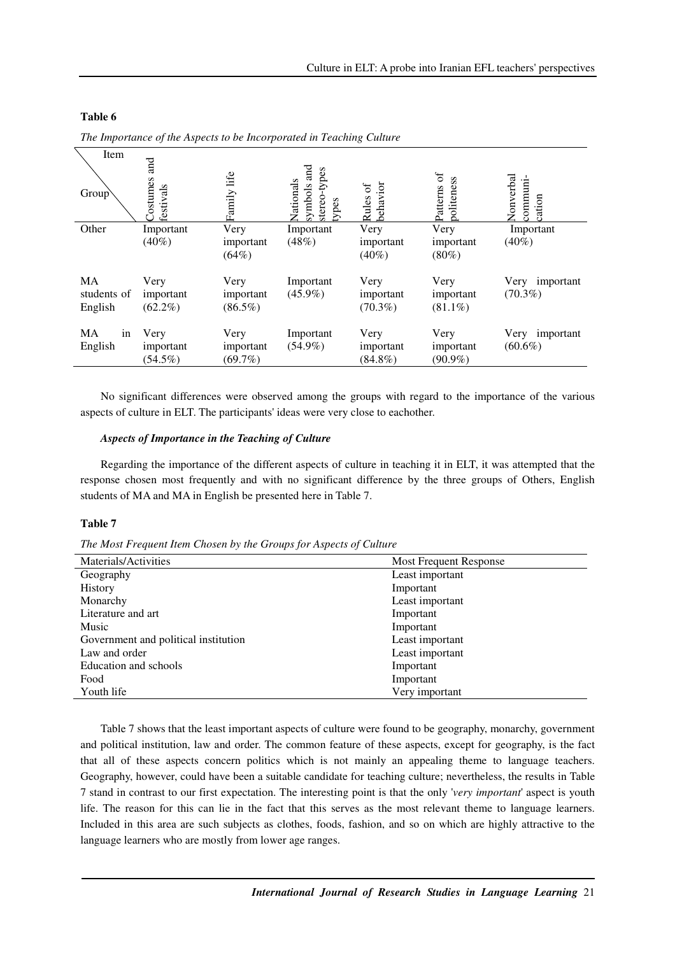| Item<br>Group                       | <b>Ta</b><br>ostumes<br>festivals | life<br>Family                  | and<br>stereo-types<br>Vationals<br>symbols<br>types | Rules of<br>behavior            | Patterns of<br>ooliteness       | Vonverbal<br>communi-<br>ation  |
|-------------------------------------|-----------------------------------|---------------------------------|------------------------------------------------------|---------------------------------|---------------------------------|---------------------------------|
| Other                               | Important                         | Very                            | Important                                            | Very                            | Very                            | Important                       |
|                                     | $(40\%)$                          | important                       | (48%)                                                | important                       | important                       | $(40\%)$                        |
|                                     |                                   | (64%)                           |                                                      | $(40\%)$                        | $(80\%)$                        |                                 |
| <b>MA</b><br>students of<br>English | Very<br>important<br>$(62.2\%)$   | Very<br>important<br>$(86.5\%)$ | Important<br>$(45.9\%)$                              | Very<br>important<br>$(70.3\%)$ | Very<br>important<br>$(81.1\%)$ | Very<br>important<br>$(70.3\%)$ |
| in<br>MA<br>English                 | Very<br>important<br>$(54.5\%)$   | Very<br>important<br>$(69.7\%)$ | Important<br>$(54.9\%)$                              | Very<br>important<br>$(84.8\%)$ | Very<br>important<br>$(90.9\%)$ | Very<br>important<br>$(60.6\%)$ |

# **Table 6**

*The Importance of the Aspects to be Incorporated in Teaching Culture* 

No significant differences were observed among the groups with regard to the importance of the various aspects of culture in ELT. The participants' ideas were very close to eachother.

### *Aspects of Importance in the Teaching of Culture*

Regarding the importance of the different aspects of culture in teaching it in ELT, it was attempted that the response chosen most frequently and with no significant difference by the three groups of Others, English students of MA and MA in English be presented here in Table 7.

# **Table 7**

*The Most Frequent Item Chosen by the Groups for Aspects of Culture* 

| Materials/Activities                 | Most Frequent Response |
|--------------------------------------|------------------------|
| Geography                            | Least important        |
| History                              | Important              |
| Monarchy                             | Least important        |
| Literature and art                   | Important              |
| Music                                | Important              |
| Government and political institution | Least important        |
| Law and order                        | Least important        |
| Education and schools                | Important              |
| Food                                 | Important              |
| Youth life                           | Very important         |

Table 7 shows that the least important aspects of culture were found to be geography, monarchy, government and political institution, law and order. The common feature of these aspects, except for geography, is the fact that all of these aspects concern politics which is not mainly an appealing theme to language teachers. Geography, however, could have been a suitable candidate for teaching culture; nevertheless, the results in Table 7 stand in contrast to our first expectation. The interesting point is that the only '*very important*' aspect is youth life. The reason for this can lie in the fact that this serves as the most relevant theme to language learners. Included in this area are such subjects as clothes, foods, fashion, and so on which are highly attractive to the language learners who are mostly from lower age ranges.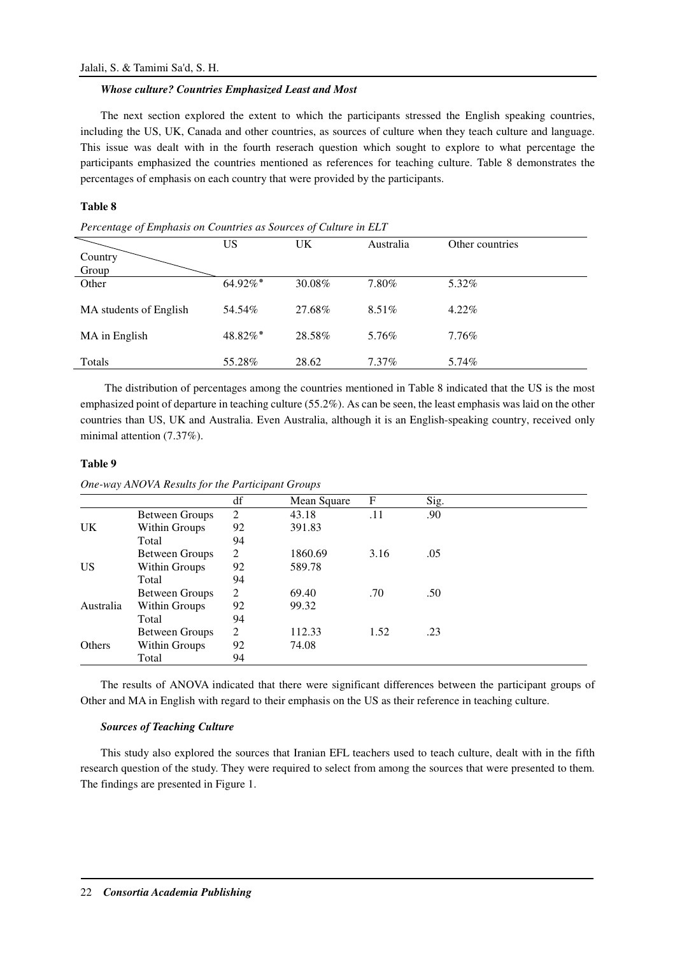### *Whose culture? Countries Emphasized Least and Most*

The next section explored the extent to which the participants stressed the English speaking countries, including the US, UK, Canada and other countries, as sources of culture when they teach culture and language. This issue was dealt with in the fourth reserach question which sought to explore to what percentage the participants emphasized the countries mentioned as references for teaching culture. Table 8 demonstrates the percentages of emphasis on each country that were provided by the participants.

# **Table 8**

| Percentage of Emphasis on Countries as Sources of Culture in ELT |  |  |
|------------------------------------------------------------------|--|--|
|------------------------------------------------------------------|--|--|

|                        | US      | UK     | Australia | Other countries |
|------------------------|---------|--------|-----------|-----------------|
| Country                |         |        |           |                 |
| Group                  |         |        |           |                 |
| Other                  | 64.92%* | 30.08% | 7.80%     | 5.32%           |
|                        |         |        |           |                 |
| MA students of English | 54.54%  | 27.68% | $8.51\%$  | $4.22\%$        |
|                        |         |        |           |                 |
| MA in English          | 48.82%* | 28.58% | 5.76%     | $7.76\%$        |
|                        |         |        |           |                 |
| Totals                 | 55.28%  | 28.62  | $7.37\%$  | 5.74%           |

The distribution of percentages among the countries mentioned in Table 8 indicated that the US is the most emphasized point of departure in teaching culture (55.2%). As can be seen, the least emphasis was laid on the other countries than US, UK and Australia. Even Australia, although it is an English-speaking country, received only minimal attention (7.37%).

### **Table 9**

|           |                       | df | Mean Square | F    | Sig. |  |
|-----------|-----------------------|----|-------------|------|------|--|
|           | <b>Between Groups</b> | 2  | 43.18       | .11  | .90  |  |
| <b>UK</b> | Within Groups         | 92 | 391.83      |      |      |  |
|           | Total                 | 94 |             |      |      |  |
|           | <b>Between Groups</b> | 2  | 1860.69     | 3.16 | .05  |  |
| <b>US</b> | Within Groups         | 92 | 589.78      |      |      |  |
|           | Total                 | 94 |             |      |      |  |
|           | <b>Between Groups</b> | 2  | 69.40       | .70  | .50  |  |
| Australia | Within Groups         | 92 | 99.32       |      |      |  |
|           | Total                 | 94 |             |      |      |  |
|           | <b>Between Groups</b> | 2  | 112.33      | 1.52 | .23  |  |
| Others    | Within Groups         | 92 | 74.08       |      |      |  |
|           | Total                 | 94 |             |      |      |  |

*One-way ANOVA Results for the Participant Groups* 

The results of ANOVA indicated that there were significant differences between the participant groups of Other and MA in English with regard to their emphasis on the US as their reference in teaching culture.

## *Sources of Teaching Culture*

This study also explored the sources that Iranian EFL teachers used to teach culture, dealt with in the fifth research question of the study. They were required to select from among the sources that were presented to them. The findings are presented in Figure 1.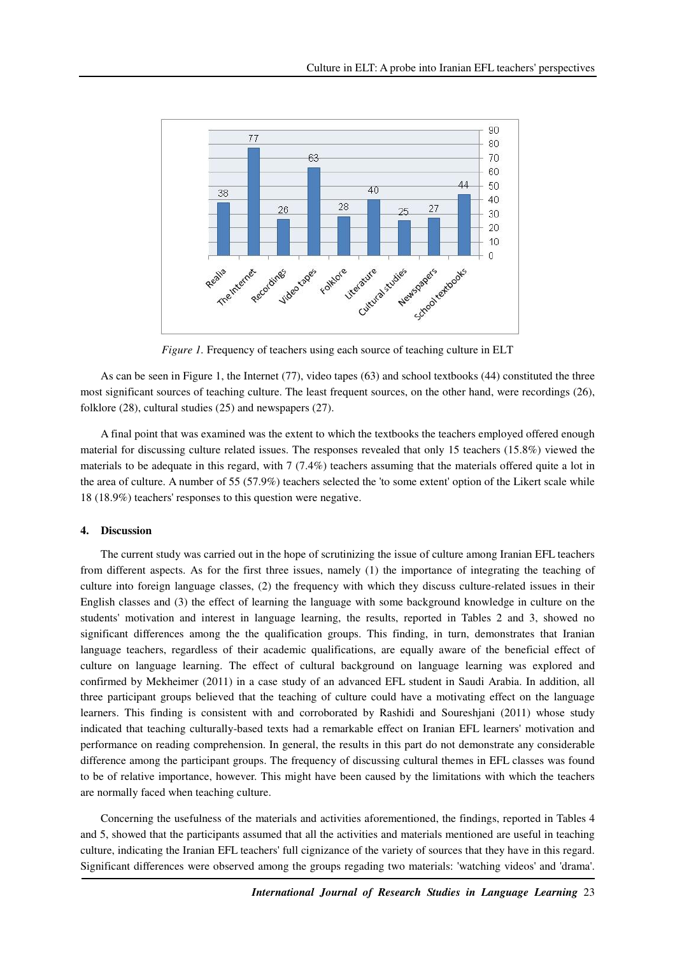

*Figure 1.* Frequency of teachers using each source of teaching culture in ELT

As can be seen in Figure 1, the Internet (77), video tapes (63) and school textbooks (44) constituted the three most significant sources of teaching culture. The least frequent sources, on the other hand, were recordings (26), folklore (28), cultural studies (25) and newspapers (27).

A final point that was examined was the extent to which the textbooks the teachers employed offered enough material for discussing culture related issues. The responses revealed that only 15 teachers (15.8%) viewed the materials to be adequate in this regard, with 7 (7.4%) teachers assuming that the materials offered quite a lot in the area of culture. A number of 55 (57.9%) teachers selected the 'to some extent' option of the Likert scale while 18 (18.9%) teachers' responses to this question were negative.

### **4. Discussion**

The current study was carried out in the hope of scrutinizing the issue of culture among Iranian EFL teachers from different aspects. As for the first three issues, namely (1) the importance of integrating the teaching of culture into foreign language classes, (2) the frequency with which they discuss culture-related issues in their English classes and (3) the effect of learning the language with some background knowledge in culture on the students' motivation and interest in language learning, the results, reported in Tables 2 and 3, showed no significant differences among the the qualification groups. This finding, in turn, demonstrates that Iranian language teachers, regardless of their academic qualifications, are equally aware of the beneficial effect of culture on language learning. The effect of cultural background on language learning was explored and confirmed by Mekheimer (2011) in a case study of an advanced EFL student in Saudi Arabia. In addition, all three participant groups believed that the teaching of culture could have a motivating effect on the language learners. This finding is consistent with and corroborated by Rashidi and Soureshjani (2011) whose study indicated that teaching culturally-based texts had a remarkable effect on Iranian EFL learners' motivation and performance on reading comprehension. In general, the results in this part do not demonstrate any considerable difference among the participant groups. The frequency of discussing cultural themes in EFL classes was found to be of relative importance, however. This might have been caused by the limitations with which the teachers are normally faced when teaching culture.

Concerning the usefulness of the materials and activities aforementioned, the findings, reported in Tables 4 and 5, showed that the participants assumed that all the activities and materials mentioned are useful in teaching culture, indicating the Iranian EFL teachers' full cignizance of the variety of sources that they have in this regard. Significant differences were observed among the groups regading two materials: 'watching videos' and 'drama'.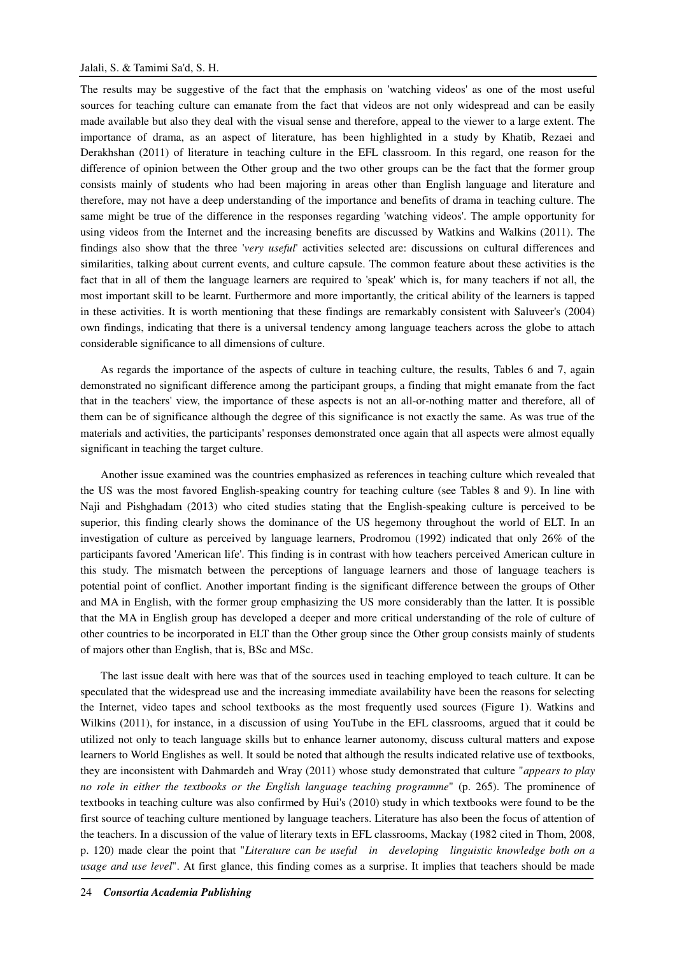### Jalali, S. & Tamimi Sa'd, S. H.

The results may be suggestive of the fact that the emphasis on 'watching videos' as one of the most useful sources for teaching culture can emanate from the fact that videos are not only widespread and can be easily made available but also they deal with the visual sense and therefore, appeal to the viewer to a large extent. The importance of drama, as an aspect of literature, has been highlighted in a study by Khatib, Rezaei and Derakhshan (2011) of literature in teaching culture in the EFL classroom. In this regard, one reason for the difference of opinion between the Other group and the two other groups can be the fact that the former group consists mainly of students who had been majoring in areas other than English language and literature and therefore, may not have a deep understanding of the importance and benefits of drama in teaching culture. The same might be true of the difference in the responses regarding 'watching videos'. The ample opportunity for using videos from the Internet and the increasing benefits are discussed by Watkins and Walkins (2011). The findings also show that the three '*very useful*' activities selected are: discussions on cultural differences and similarities, talking about current events, and culture capsule. The common feature about these activities is the fact that in all of them the language learners are required to 'speak' which is, for many teachers if not all, the most important skill to be learnt. Furthermore and more importantly, the critical ability of the learners is tapped in these activities. It is worth mentioning that these findings are remarkably consistent with Saluveer's (2004) own findings, indicating that there is a universal tendency among language teachers across the globe to attach considerable significance to all dimensions of culture.

As regards the importance of the aspects of culture in teaching culture, the results, Tables 6 and 7, again demonstrated no significant difference among the participant groups, a finding that might emanate from the fact that in the teachers' view, the importance of these aspects is not an all-or-nothing matter and therefore, all of them can be of significance although the degree of this significance is not exactly the same. As was true of the materials and activities, the participants' responses demonstrated once again that all aspects were almost equally significant in teaching the target culture.

Another issue examined was the countries emphasized as references in teaching culture which revealed that the US was the most favored English-speaking country for teaching culture (see Tables 8 and 9). In line with Naji and Pishghadam (2013) who cited studies stating that the English-speaking culture is perceived to be superior, this finding clearly shows the dominance of the US hegemony throughout the world of ELT. In an investigation of culture as perceived by language learners, Prodromou (1992) indicated that only 26% of the participants favored 'American life'. This finding is in contrast with how teachers perceived American culture in this study. The mismatch between the perceptions of language learners and those of language teachers is potential point of conflict. Another important finding is the significant difference between the groups of Other and MA in English, with the former group emphasizing the US more considerably than the latter. It is possible that the MA in English group has developed a deeper and more critical understanding of the role of culture of other countries to be incorporated in ELT than the Other group since the Other group consists mainly of students of majors other than English, that is, BSc and MSc.

The last issue dealt with here was that of the sources used in teaching employed to teach culture. It can be speculated that the widespread use and the increasing immediate availability have been the reasons for selecting the Internet, video tapes and school textbooks as the most frequently used sources (Figure 1). Watkins and Wilkins (2011), for instance, in a discussion of using YouTube in the EFL classrooms, argued that it could be utilized not only to teach language skills but to enhance learner autonomy, discuss cultural matters and expose learners to World Englishes as well. It sould be noted that although the results indicated relative use of textbooks, they are inconsistent with Dahmardeh and Wray (2011) whose study demonstrated that culture "*appears to play no role in either the textbooks or the English language teaching programme*" (p. 265). The prominence of textbooks in teaching culture was also confirmed by Hui's (2010) study in which textbooks were found to be the first source of teaching culture mentioned by language teachers. Literature has also been the focus of attention of the teachers. In a discussion of the value of literary texts in EFL classrooms, Mackay (1982 cited in Thom, 2008, p. 120) made clear the point that "*Literature can be useful in developing linguistic knowledge both on a usage and use level*". At first glance, this finding comes as a surprise. It implies that teachers should be made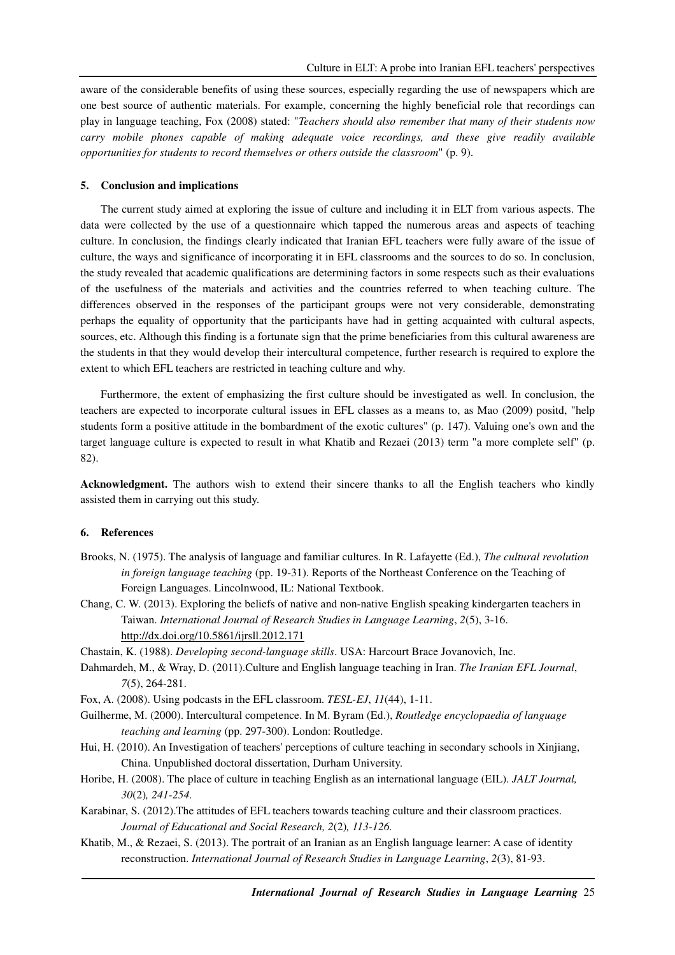aware of the considerable benefits of using these sources, especially regarding the use of newspapers which are one best source of authentic materials. For example, concerning the highly beneficial role that recordings can play in language teaching, Fox (2008) stated: "*Teachers should also remember that many of their students now carry mobile phones capable of making adequate voice recordings, and these give readily available opportunities for students to record themselves or others outside the classroom*" (p. 9).

#### **5. Conclusion and implications**

The current study aimed at exploring the issue of culture and including it in ELT from various aspects. The data were collected by the use of a questionnaire which tapped the numerous areas and aspects of teaching culture. In conclusion, the findings clearly indicated that Iranian EFL teachers were fully aware of the issue of culture, the ways and significance of incorporating it in EFL classrooms and the sources to do so. In conclusion, the study revealed that academic qualifications are determining factors in some respects such as their evaluations of the usefulness of the materials and activities and the countries referred to when teaching culture. The differences observed in the responses of the participant groups were not very considerable, demonstrating perhaps the equality of opportunity that the participants have had in getting acquainted with cultural aspects, sources, etc. Although this finding is a fortunate sign that the prime beneficiaries from this cultural awareness are the students in that they would develop their intercultural competence, further research is required to explore the extent to which EFL teachers are restricted in teaching culture and why.

Furthermore, the extent of emphasizing the first culture should be investigated as well. In conclusion, the teachers are expected to incorporate cultural issues in EFL classes as a means to, as Mao (2009) positd, "help students form a positive attitude in the bombardment of the exotic cultures" (p. 147). Valuing one's own and the target language culture is expected to result in what Khatib and Rezaei (2013) term "a more complete self" (p. 82).

**Acknowledgment.** The authors wish to extend their sincere thanks to all the English teachers who kindly assisted them in carrying out this study.

#### **6. References**

- Brooks, N. (1975). The analysis of language and familiar cultures. In R. Lafayette (Ed.), *The cultural revolution in foreign language teaching* (pp. 19-31). Reports of the Northeast Conference on the Teaching of Foreign Languages. Lincolnwood, IL: National Textbook.
- Chang, C. W. (2013). Exploring the beliefs of native and non-native English speaking kindergarten teachers in Taiwan. *International Journal of Research Studies in Language Learning*, *2*(5), 3-16. http://dx.doi.org/10.5861/ijrsll.2012.171
- Chastain, K. (1988). *Developing second-language skills*. USA: Harcourt Brace Jovanovich, Inc.
- Dahmardeh, M., & Wray, D. (2011).Culture and English language teaching in Iran. *The Iranian EFL Journal*, *7*(5), 264-281.
- Fox, A. (2008). Using podcasts in the EFL classroom. *TESL-EJ*, *11*(44), 1-11.
- Guilherme, M. (2000). Intercultural competence. In M. Byram (Ed.), *Routledge encyclopaedia of language teaching and learning* (pp. 297-300). London: Routledge.
- Hui, H. (2010). An Investigation of teachers' perceptions of culture teaching in secondary schools in Xinjiang, China. Unpublished doctoral dissertation, Durham University.
- Horibe, H. (2008). The place of culture in teaching English as an international language (EIL). *JALT Journal, 30*(2)*, 241-254.*
- Karabinar, S. (2012).The attitudes of EFL teachers towards teaching culture and their classroom practices. *Journal of Educational and Social Research, 2*(2)*, 113-126.*
- Khatib, M., & Rezaei, S. (2013). The portrait of an Iranian as an English language learner: A case of identity reconstruction. *International Journal of Research Studies in Language Learning*, *2*(3), 81-93.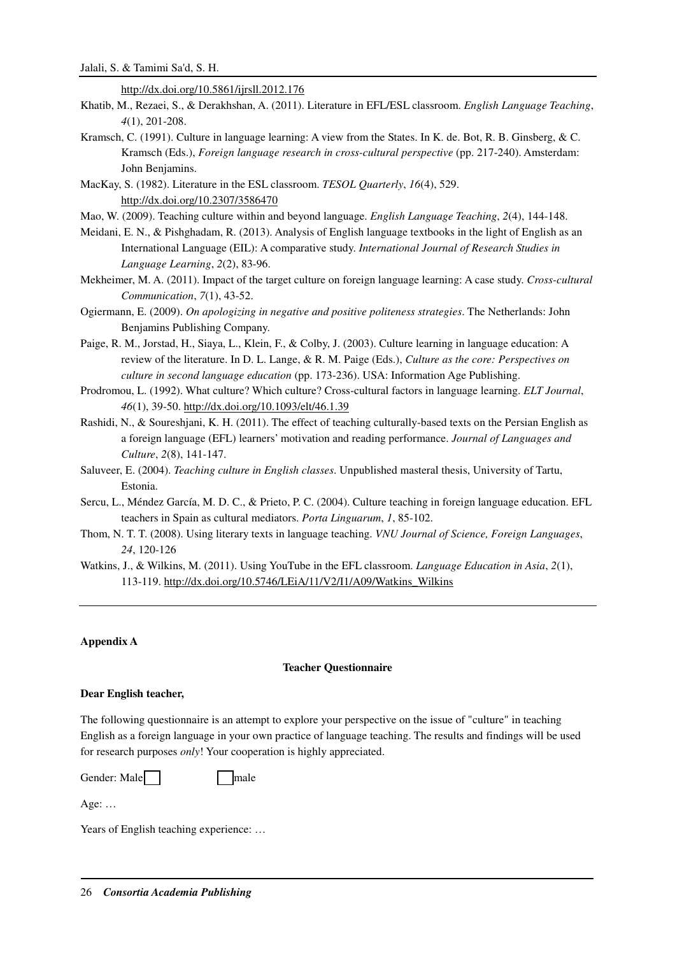http://dx.doi.org/10.5861/ijrsll.2012.176

- Khatib, M., Rezaei, S., & Derakhshan, A. (2011). Literature in EFL/ESL classroom. *English Language Teaching*, *4*(1), 201-208.
- Kramsch, C. (1991). Culture in language learning: A view from the States. In K. de. Bot, R. B. Ginsberg, & C. Kramsch (Eds.), *Foreign language research in cross-cultural perspective* (pp. 217-240). Amsterdam: John Benjamins.
- MacKay, S. (1982). Literature in the ESL classroom. *TESOL Quarterly*, *16*(4), 529. http://dx.doi.org/10.2307/3586470
- Mao, W. (2009). Teaching culture within and beyond language. *English Language Teaching*, *2*(4), 144-148.
- Meidani, E. N., & Pishghadam, R. (2013). Analysis of English language textbooks in the light of English as an International Language (EIL): A comparative study. *International Journal of Research Studies in Language Learning*, *2*(2), 83-96.
- Mekheimer, M. A. (2011). Impact of the target culture on foreign language learning: A case study. *Cross-cultural Communication*, *7*(1), 43-52.
- Ogiermann, E. (2009). *On apologizing in negative and positive politeness strategies*. The Netherlands: John Benjamins Publishing Company.
- Paige, R. M., Jorstad, H., Siaya, L., Klein, F., & Colby, J. (2003). Culture learning in language education: A review of the literature. In D. L. Lange, & R. M. Paige (Eds.), *Culture as the core: Perspectives on culture in second language education* (pp. 173-236). USA: Information Age Publishing.
- Prodromou, L. (1992). What culture? Which culture? Cross-cultural factors in language learning. *ELT Journal*, *46*(1), 39-50. http://dx.doi.org/10.1093/elt/46.1.39
- Rashidi, N., & Soureshjani, K. H. (2011). The effect of teaching culturally-based texts on the Persian English as a foreign language (EFL) learners' motivation and reading performance. *Journal of Languages and Culture*, *2*(8), 141-147.
- Saluveer, E. (2004). *Teaching culture in English classes*. Unpublished masteral thesis, University of Tartu, Estonia.
- Sercu, L., Méndez García, M. D. C., & Prieto, P. C. (2004). Culture teaching in foreign language education. EFL teachers in Spain as cultural mediators. *Porta Linguarum*, *1*, 85-102.
- Thom, N. T. T. (2008). Using literary texts in language teaching. *VNU Journal of Science, Foreign Languages*, *24*, 120-126
- Watkins, J., & Wilkins, M. (2011). Using YouTube in the EFL classroom. *Language Education in Asia*, *2*(1), 113-119. http://dx.doi.org/10.5746/LEiA/11/V2/I1/A09/Watkins\_Wilkins

# **Appendix A**

#### **Teacher Questionnaire**

#### **Dear English teacher,**

The following questionnaire is an attempt to explore your perspective on the issue of "culture" in teaching English as a foreign language in your own practice of language teaching. The results and findings will be used for research purposes *only*! Your cooperation is highly appreciated.

Gender: Male Female

Age: …

Years of English teaching experience: ...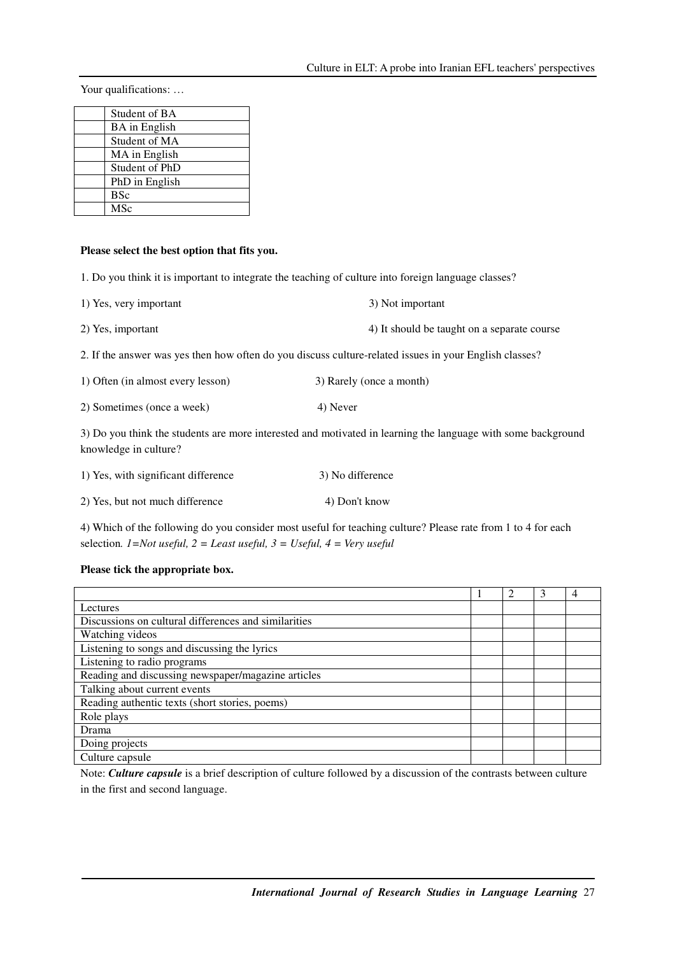Your qualifications: ...

| Student of BA        |
|----------------------|
| <b>BA</b> in English |
| Student of MA        |
| MA in English        |
| Student of PhD       |
| PhD in English       |
| <b>BSc</b>           |
| <b>MSc</b>           |

# **Please select the best option that fits you.**

1. Do you think it is important to integrate the teaching of culture into foreign language classes?

| 1) Yes, very important | 3) Not important                            |
|------------------------|---------------------------------------------|
| 2) Yes, important      | 4) It should be taught on a separate course |

2. If the answer was yes then how often do you discuss culture-related issues in your English classes?

| 1) Often (in almost every lesson) | 3) Rarely (once a month) |
|-----------------------------------|--------------------------|
|-----------------------------------|--------------------------|

2) Sometimes (once a week) 4) Never

3) Do you think the students are more interested and motivated in learning the language with some background knowledge in culture?

| 1) Yes, with significant difference | 3) No difference |
|-------------------------------------|------------------|
| 2) Yes, but not much difference     | 4) Don't know    |

4) Which of the following do you consider most useful for teaching culture? Please rate from 1 to 4 for each selection*. 1=Not useful, 2 = Least useful, 3 = Useful, 4 = Very useful* 

# **Please tick the appropriate box.**

|                                                      |  | 3 |  |
|------------------------------------------------------|--|---|--|
| Lectures                                             |  |   |  |
| Discussions on cultural differences and similarities |  |   |  |
| Watching videos                                      |  |   |  |
| Listening to songs and discussing the lyrics         |  |   |  |
| Listening to radio programs                          |  |   |  |
| Reading and discussing newspaper/magazine articles   |  |   |  |
| Talking about current events                         |  |   |  |
| Reading authentic texts (short stories, poems)       |  |   |  |
| Role plays                                           |  |   |  |
| Drama                                                |  |   |  |
| Doing projects                                       |  |   |  |
| Culture capsule                                      |  |   |  |

Note: *Culture capsule* is a brief description of culture followed by a discussion of the contrasts between culture in the first and second language.